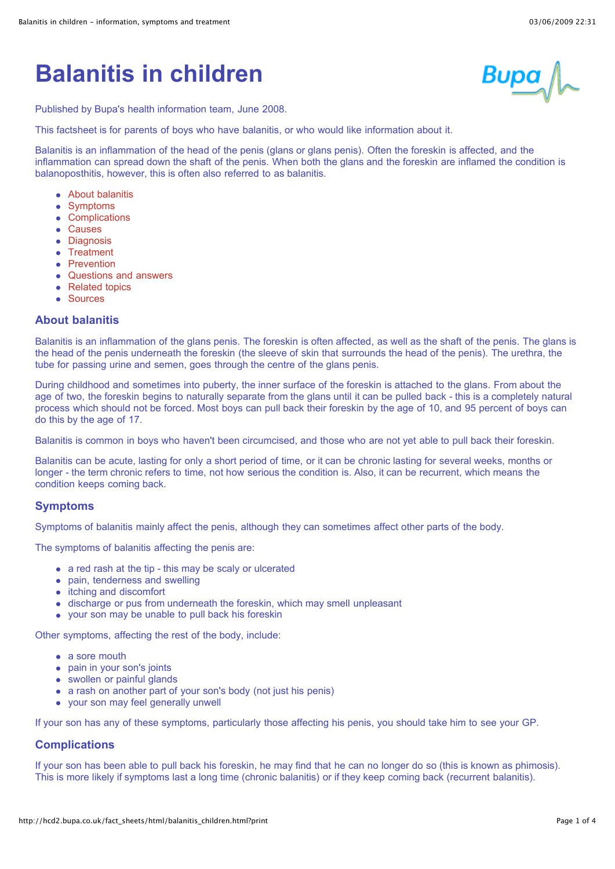# **Balanitis in children**



Published by Bupa's health information team, June 2008.

This factsheet is for parents of boys who have balanitis, or who would like information about it.

Balanitis is an inflammation of the head of the penis (glans or glans penis). Often the foreskin is affected, and the inflammation can spread down the shaft of the penis. When both the glans and the foreskin are inflamed the condition is balanoposthitis, however, this is often also referred to as balanitis.

- [About balanitis](http://hcd2.bupa.co.uk/fact_sheets/html/balanitis_children.html?print#1)
- [Symptoms](http://hcd2.bupa.co.uk/fact_sheets/html/balanitis_children.html?print#2)
- **[Complications](http://hcd2.bupa.co.uk/fact_sheets/html/balanitis_children.html?print#3)**  $\bullet$
- [Causes](http://hcd2.bupa.co.uk/fact_sheets/html/balanitis_children.html?print#4)
- **•** [Diagnosis](http://hcd2.bupa.co.uk/fact_sheets/html/balanitis_children.html?print#5)
- [Treatment](http://hcd2.bupa.co.uk/fact_sheets/html/balanitis_children.html?print#6)
- [Prevention](http://hcd2.bupa.co.uk/fact_sheets/html/balanitis_children.html?print#7)
- [Questions and answers](http://hcd2.bupa.co.uk/fact_sheets/html/balanitis_children.html?print#8)
- [Related topics](http://hcd2.bupa.co.uk/fact_sheets/html/balanitis_children.html?print#9)
- [Sources](http://hcd2.bupa.co.uk/fact_sheets/html/balanitis_children.html?print#10)

# **About balanitis**

Balanitis is an inflammation of the glans penis. The foreskin is often affected, as well as the shaft of the penis. The glans is the head of the penis underneath the foreskin (the sleeve of skin that surrounds the head of the penis). The urethra, the tube for passing urine and semen, goes through the centre of the glans penis.

During childhood and sometimes into puberty, the inner surface of the foreskin is attached to the glans. From about the age of two, the foreskin begins to naturally separate from the glans until it can be pulled back - this is a completely natural process which should not be forced. Most boys can pull back their foreskin by the age of 10, and 95 percent of boys can do this by the age of 17.

Balanitis is common in boys who haven't been circumcised, and those who are not yet able to pull back their foreskin.

Balanitis can be acute, lasting for only a short period of time, or it can be chronic lasting for several weeks, months or longer - the term chronic refers to time, not how serious the condition is. Also, it can be recurrent, which means the condition keeps coming back.

#### **Symptoms**

Symptoms of balanitis mainly affect the penis, although they can sometimes affect other parts of the body.

The symptoms of balanitis affecting the penis are:

- a red rash at the tip this may be scaly or ulcerated
- pain, tenderness and swelling
- itching and discomfort
- discharge or pus from underneath the foreskin, which may smell unpleasant
- your son may be unable to pull back his foreskin

Other symptoms, affecting the rest of the body, include:

- a sore mouth
- pain in your son's joints
- swollen or painful glands
- a rash on another part of your son's body (not just his penis)
- your son may feel generally unwell

If your son has any of these symptoms, particularly those affecting his penis, you should take him to see your GP.

#### **Complications**

If your son has been able to pull back his foreskin, he may find that he can no longer do so (this is known as phimosis). This is more likely if symptoms last a long time (chronic balanitis) or if they keep coming back (recurrent balanitis).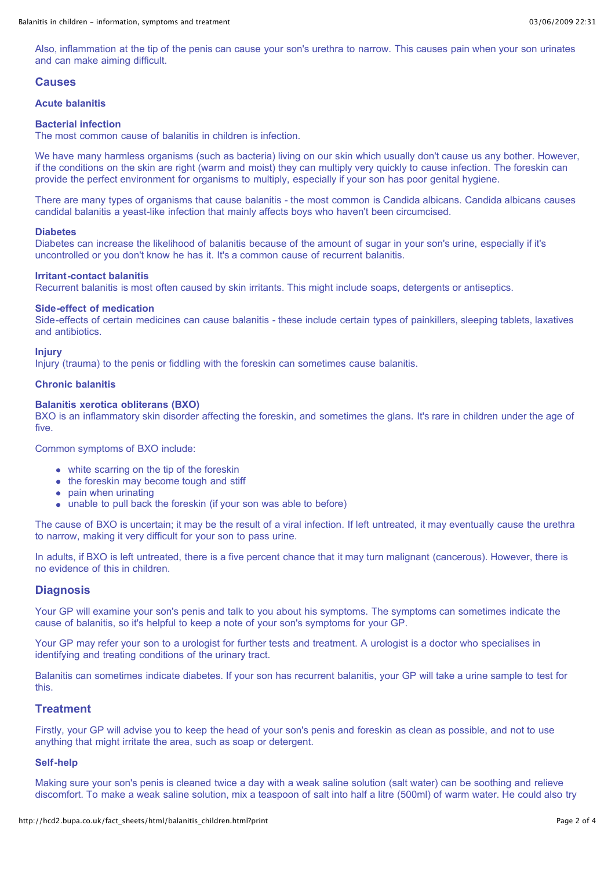Also, inflammation at the tip of the penis can cause your son's urethra to narrow. This causes pain when your son urinates and can make aiming difficult.

### **Causes**

#### **Acute balanitis**

#### **Bacterial infection**

The most common cause of balanitis in children is infection.

We have many harmless organisms (such as bacteria) living on our skin which usually don't cause us any bother. However, if the conditions on the skin are right (warm and moist) they can multiply very quickly to cause infection. The foreskin can provide the perfect environment for organisms to multiply, especially if your son has poor genital hygiene.

There are many types of organisms that cause balanitis - the most common is Candida albicans. Candida albicans causes candidal balanitis a yeast-like infection that mainly affects boys who haven't been circumcised.

#### **Diabetes**

Diabetes can increase the likelihood of balanitis because of the amount of sugar in your son's urine, especially if it's uncontrolled or you don't know he has it. It's a common cause of recurrent balanitis.

#### **Irritant-contact balanitis**

Recurrent balanitis is most often caused by skin irritants. This might include soaps, detergents or antiseptics.

#### **Side-effect of medication**

Side-effects of certain medicines can cause balanitis - these include certain types of painkillers, sleeping tablets, laxatives and antibiotics.

#### **Injury**

Injury (trauma) to the penis or fiddling with the foreskin can sometimes cause balanitis.

#### **Chronic balanitis**

#### **Balanitis xerotica obliterans (BXO)**

BXO is an inflammatory skin disorder affecting the foreskin, and sometimes the glans. It's rare in children under the age of five.

Common symptoms of BXO include:

- white scarring on the tip of the foreskin
- the foreskin may become tough and stiff
- pain when urinating
- unable to pull back the foreskin (if your son was able to before)

The cause of BXO is uncertain; it may be the result of a viral infection. If left untreated, it may eventually cause the urethra to narrow, making it very difficult for your son to pass urine.

In adults, if BXO is left untreated, there is a five percent chance that it may turn malignant (cancerous). However, there is no evidence of this in children.

#### **Diagnosis**

Your GP will examine your son's penis and talk to you about his symptoms. The symptoms can sometimes indicate the cause of balanitis, so it's helpful to keep a note of your son's symptoms for your GP.

Your GP may refer your son to a urologist for further tests and treatment. A urologist is a doctor who specialises in identifying and treating conditions of the urinary tract.

Balanitis can sometimes indicate diabetes. If your son has recurrent balanitis, your GP will take a urine sample to test for this.

#### **Treatment**

Firstly, your GP will advise you to keep the head of your son's penis and foreskin as clean as possible, and not to use anything that might irritate the area, such as soap or detergent.

#### **Self-help**

Making sure your son's penis is cleaned twice a day with a weak saline solution (salt water) can be soothing and relieve discomfort. To make a weak saline solution, mix a teaspoon of salt into half a litre (500ml) of warm water. He could also try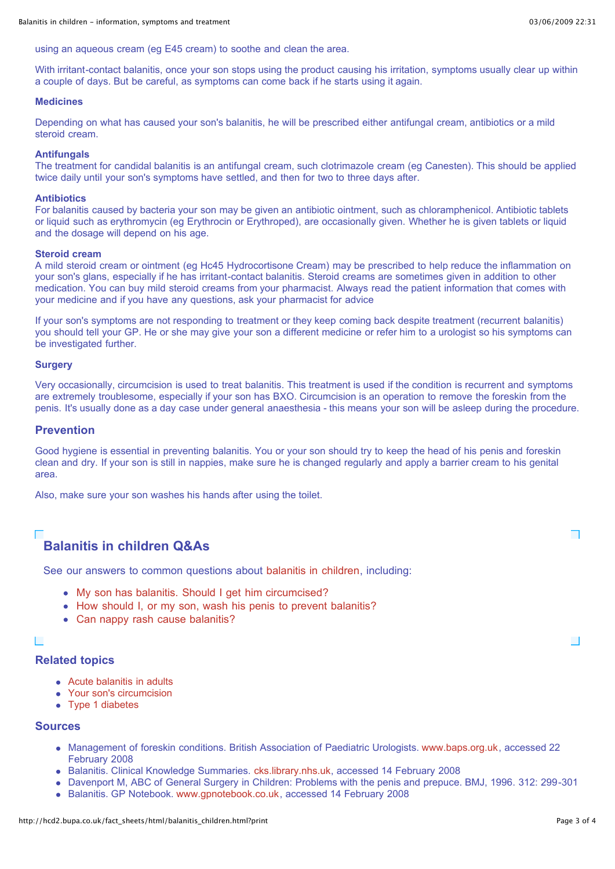using an aqueous cream (eg E45 cream) to soothe and clean the area.

With irritant-contact balanitis, once your son stops using the product causing his irritation, symptoms usually clear up within a couple of days. But be careful, as symptoms can come back if he starts using it again.

#### **Medicines**

Depending on what has caused your son's balanitis, he will be prescribed either antifungal cream, antibiotics or a mild steroid cream.

#### **Antifungals**

The treatment for candidal balanitis is an antifungal cream, such clotrimazole cream (eg Canesten). This should be applied twice daily until your son's symptoms have settled, and then for two to three days after.

# **Antibiotics**

For balanitis caused by bacteria your son may be given an antibiotic ointment, such as chloramphenicol. Antibiotic tablets or liquid such as erythromycin (eg Erythrocin or Erythroped), are occasionally given. Whether he is given tablets or liquid and the dosage will depend on his age.

#### **Steroid cream**

A mild steroid cream or ointment (eg Hc45 Hydrocortisone Cream) may be prescribed to help reduce the inflammation on your son's glans, especially if he has irritant-contact balanitis. Steroid creams are sometimes given in addition to other medication. You can buy mild steroid creams from your pharmacist. Always read the patient information that comes with your medicine and if you have any questions, ask your pharmacist for advice

If your son's symptoms are not responding to treatment or they keep coming back despite treatment (recurrent balanitis) you should tell your GP. He or she may give your son a different medicine or refer him to a urologist so his symptoms can be investigated further.

#### **Surgery**

Very occasionally, circumcision is used to treat balanitis. This treatment is used if the condition is recurrent and symptoms are extremely troublesome, especially if your son has BXO. Circumcision is an operation to remove the foreskin from the penis. It's usually done as a day case under general anaesthesia - this means your son will be asleep during the procedure.

#### **Prevention**

Good hygiene is essential in preventing balanitis. You or your son should try to keep the head of his penis and foreskin clean and dry. If your son is still in nappies, make sure he is changed regularly and apply a barrier cream to his genital area.

Also, make sure your son washes his hands after using the toilet.

# **Balanitis in children Q&As**

See our answers to common questions about [balanitis in children](http://hcd2.bupa.co.uk/fact_sheets/html/qanda/balanitis_children_qanda.html), including:

- [My son has balanitis. Should I get him circumcised?](http://hcd2.bupa.co.uk/fact_sheets/html/qanda/balanitis_children_qanda.html#1)
- [How should I, or my son, wash his penis to prevent balanitis?](http://hcd2.bupa.co.uk/fact_sheets/html/qanda/balanitis_children_qanda.html#2)
- [Can nappy rash cause balanitis?](http://hcd2.bupa.co.uk/fact_sheets/html/qanda/balanitis_children_qanda.html#3)

# П

# **Related topics**

- [Acute balanitis in adults](http://hcd2.bupa.co.uk/fact_sheets/html/acute_balanitis_adults.html)
- [Your son's circumcision](http://hcd2.bupa.co.uk/fact_sheets/html/circumcision.html)
- [Type 1 diabetes](http://hcd2.bupa.co.uk/fact_sheets/html/diabetes1.html)

#### **Sources**

- Management of foreskin conditions. British Association of Paediatric Urologists. [www.baps.org.uk,](http://www.baps.org.uk/) accessed 22 February 2008
- Balanitis. Clinical Knowledge Summaries. [cks.library.nhs.uk](http://cks.library.nhs.uk/), accessed 14 February 2008
- Davenport M, ABC of General Surgery in Children: Problems with the penis and prepuce. BMJ, 1996. 312: 299-301
- Balanitis. GP Notebook. [www.gpnotebook.co.uk,](http://www.gpnotebook.co.uk/) accessed 14 February 2008

┓

 $\overline{\phantom{a}}$